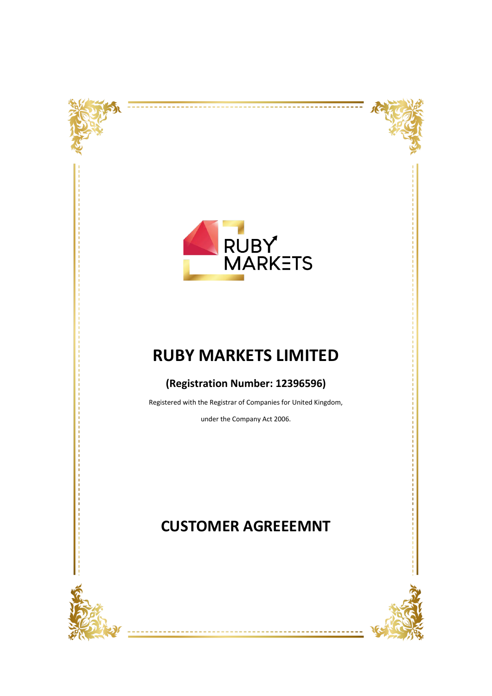





# **RUBY MARKETS LIMITED**

# **(Registration Number: 12396596)**

Registered with the Registrar of Companies for United Kingdom,

under the Company Act 2006.

# **CUSTOMER AGREEEMNT**

<u>---------</u>



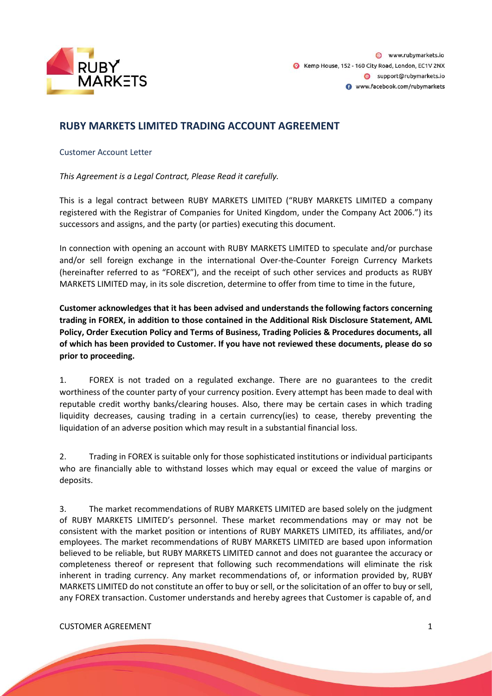

# **RUBY MARKETS LIMITED TRADING ACCOUNT AGREEMENT**

# Customer Account Letter

*This Agreement is a Legal Contract, Please Read it carefully.*

This is a legal contract between RUBY MARKETS LIMITED ("RUBY MARKETS LIMITED a company registered with the Registrar of Companies for United Kingdom, under the Company Act 2006.") its successors and assigns, and the party (or parties) executing this document.

In connection with opening an account with RUBY MARKETS LIMITED to speculate and/or purchase and/or sell foreign exchange in the international Over-the-Counter Foreign Currency Markets (hereinafter referred to as "FOREX"), and the receipt of such other services and products as RUBY MARKETS LIMITED may, in its sole discretion, determine to offer from time to time in the future,

**Customer acknowledges that it has been advised and understands the following factors concerning trading in FOREX, in addition to those contained in the Additional Risk Disclosure Statement, AML Policy, Order Execution Policy and Terms of Business, Trading Policies & Procedures documents, all of which has been provided to Customer. If you have not reviewed these documents, please do so prior to proceeding.**

1. FOREX is not traded on a regulated exchange. There are no guarantees to the credit worthiness of the counter party of your currency position. Every attempt has been made to deal with reputable credit worthy banks/clearing houses. Also, there may be certain cases in which trading liquidity decreases, causing trading in a certain currency(ies) to cease, thereby preventing the liquidation of an adverse position which may result in a substantial financial loss.

2. Trading in FOREX is suitable only for those sophisticated institutions or individual participants who are financially able to withstand losses which may equal or exceed the value of margins or deposits.

3. The market recommendations of RUBY MARKETS LIMITED are based solely on the judgment of RUBY MARKETS LIMITED's personnel. These market recommendations may or may not be consistent with the market position or intentions of RUBY MARKETS LIMITED, its affiliates, and/or employees. The market recommendations of RUBY MARKETS LIMITED are based upon information believed to be reliable, but RUBY MARKETS LIMITED cannot and does not guarantee the accuracy or completeness thereof or represent that following such recommendations will eliminate the risk inherent in trading currency. Any market recommendations of, or information provided by, RUBY MARKETS LIMITED do not constitute an offer to buy or sell, or the solicitation of an offer to buy or sell, any FOREX transaction. Customer understands and hereby agrees that Customer is capable of, and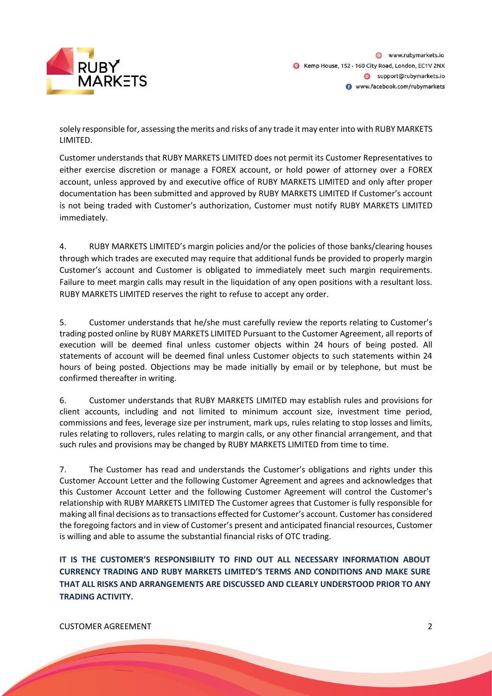

solely responsible for, assessing the merits and risks of any trade it may enter into with RUBY MARKETS LIMITED.

Customer understands that RUBY MARKETS LIMITED does not permit its Customer Representatives to either exercise discretion or manage a FOREX account, or hold power of attorney over a FOREX account, unless approved by and executive office of RUBY MARKETS LIMITED and only after proper documentation has been submitted and approved by RUBY MARKETS LIMITED If Customer's account is not being traded with Customer's authorization, Customer must notify RUBY MARKETS LIMITED immediately.

4. RUBY MARKETS LIMITED's margin policies and/or the policies of those banks/clearing houses through which trades are executed may require that additional funds be provided to properly margin Customer's account and Customer is obligated to immediately meet such margin requirements. Failure to meet margin calls may result in the liquidation of any open positions with a resultant loss. RUBY MARKETS LIMITED reserves the right to refuse to accept any order.

5. Customer understands that he/she must carefully review the reports relating to Customer's trading posted online by RUBY MARKETS LIMITED Pursuant to the Customer Agreement, all reports of execution will be deemed final unless customer objects within 24 hours of being posted. All statements of account will be deemed final unless Customer objects to such statements within 24 hours of being posted. Objections may be made initially by email or by telephone, but must be confirmed thereafter in writing.

6. Customer understands that RUBY MARKETS LIMITED may establish rules and provisions for client accounts, including and not limited to minimum account size, investment time period, commissions and fees, leverage size per instrument, mark ups, rules relating to stop losses and limits, rules relating to rollovers, rules relating to margin calls, or any other financial arrangement, and that such rules and provisions may be changed by RUBY MARKETS LIMITED from time to time.

7. The Customer has read and understands the Customer's obligations and rights under this Customer Account Letter and the following Customer Agreement and agrees and acknowledges that this Customer Account Letter and the following Customer Agreement will control the Customer's relationship with RUBY MARKETS LIMITED The Customer agrees that Customer is fully responsible for making all final decisions as to transactions effected for Customer's account. Customer has considered the foregoing factors and in view of Customer's present and anticipated financial resources, Customer is willing and able to assume the substantial financial risks of OTC trading.

**IT IS THE CUSTOMER'S RESPONSIBILITY TO FIND OUT ALL NECESSARY INFORMATION ABOUT CURRENCY TRADING AND RUBY MARKETS LIMITED'S TERMS AND CONDITIONS AND MAKE SURE THAT ALL RISKS AND ARRANGEMENTS ARE DISCUSSED AND CLEARLY UNDERSTOOD PRIOR TO ANY TRADING ACTIVITY.**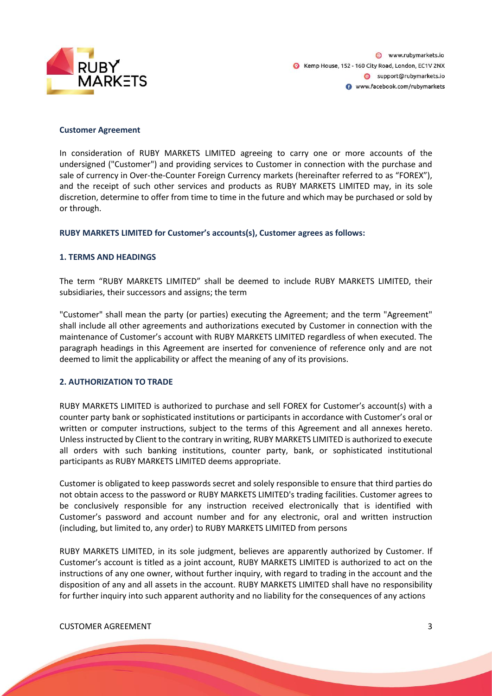

#### **Customer Agreement**

In consideration of RUBY MARKETS LIMITED agreeing to carry one or more accounts of the undersigned ("Customer") and providing services to Customer in connection with the purchase and sale of currency in Over-the-Counter Foreign Currency markets (hereinafter referred to as "FOREX"), and the receipt of such other services and products as RUBY MARKETS LIMITED may, in its sole discretion, determine to offer from time to time in the future and which may be purchased or sold by or through.

# **RUBY MARKETS LIMITED for Customer's accounts(s), Customer agrees as follows:**

#### **1. TERMS AND HEADINGS**

The term "RUBY MARKETS LIMITED" shall be deemed to include RUBY MARKETS LIMITED, their subsidiaries, their successors and assigns; the term

"Customer" shall mean the party (or parties) executing the Agreement; and the term "Agreement" shall include all other agreements and authorizations executed by Customer in connection with the maintenance of Customer's account with RUBY MARKETS LIMITED regardless of when executed. The paragraph headings in this Agreement are inserted for convenience of reference only and are not deemed to limit the applicability or affect the meaning of any of its provisions.

#### **2. AUTHORIZATION TO TRADE**

RUBY MARKETS LIMITED is authorized to purchase and sell FOREX for Customer's account(s) with a counter party bank or sophisticated institutions or participants in accordance with Customer's oral or written or computer instructions, subject to the terms of this Agreement and all annexes hereto. Unless instructed by Client to the contrary in writing, RUBY MARKETS LIMITED is authorized to execute all orders with such banking institutions, counter party, bank, or sophisticated institutional participants as RUBY MARKETS LIMITED deems appropriate.

Customer is obligated to keep passwords secret and solely responsible to ensure that third parties do not obtain access to the password or RUBY MARKETS LIMITED's trading facilities. Customer agrees to be conclusively responsible for any instruction received electronically that is identified with Customer's password and account number and for any electronic, oral and written instruction (including, but limited to, any order) to RUBY MARKETS LIMITED from persons

RUBY MARKETS LIMITED, in its sole judgment, believes are apparently authorized by Customer. If Customer's account is titled as a joint account, RUBY MARKETS LIMITED is authorized to act on the instructions of any one owner, without further inquiry, with regard to trading in the account and the disposition of any and all assets in the account. RUBY MARKETS LIMITED shall have no responsibility for further inquiry into such apparent authority and no liability for the consequences of any actions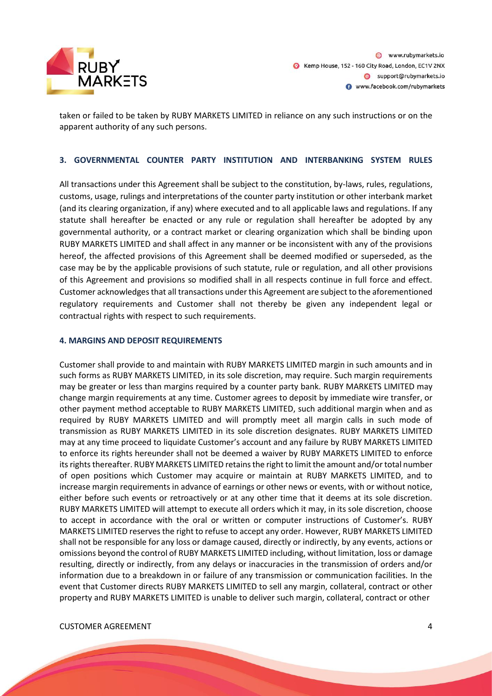

taken or failed to be taken by RUBY MARKETS LIMITED in reliance on any such instructions or on the apparent authority of any such persons.

# **3. GOVERNMENTAL COUNTER PARTY INSTITUTION AND INTERBANKING SYSTEM RULES**

All transactions under this Agreement shall be subject to the constitution, by-laws, rules, regulations, customs, usage, rulings and interpretations of the counter party institution or other interbank market (and its clearing organization, if any) where executed and to all applicable laws and regulations. If any statute shall hereafter be enacted or any rule or regulation shall hereafter be adopted by any governmental authority, or a contract market or clearing organization which shall be binding upon RUBY MARKETS LIMITED and shall affect in any manner or be inconsistent with any of the provisions hereof, the affected provisions of this Agreement shall be deemed modified or superseded, as the case may be by the applicable provisions of such statute, rule or regulation, and all other provisions of this Agreement and provisions so modified shall in all respects continue in full force and effect. Customer acknowledges that all transactions under this Agreement are subject to the aforementioned regulatory requirements and Customer shall not thereby be given any independent legal or contractual rights with respect to such requirements.

#### **4. MARGINS AND DEPOSIT REQUIREMENTS**

Customer shall provide to and maintain with RUBY MARKETS LIMITED margin in such amounts and in such forms as RUBY MARKETS LIMITED, in its sole discretion, may require. Such margin requirements may be greater or less than margins required by a counter party bank. RUBY MARKETS LIMITED may change margin requirements at any time. Customer agrees to deposit by immediate wire transfer, or other payment method acceptable to RUBY MARKETS LIMITED, such additional margin when and as required by RUBY MARKETS LIMITED and will promptly meet all margin calls in such mode of transmission as RUBY MARKETS LIMITED in its sole discretion designates. RUBY MARKETS LIMITED may at any time proceed to liquidate Customer's account and any failure by RUBY MARKETS LIMITED to enforce its rights hereunder shall not be deemed a waiver by RUBY MARKETS LIMITED to enforce its rights thereafter. RUBY MARKETS LIMITED retains the right to limit the amount and/or total number of open positions which Customer may acquire or maintain at RUBY MARKETS LIMITED, and to increase margin requirements in advance of earnings or other news or events, with or without notice, either before such events or retroactively or at any other time that it deems at its sole discretion. RUBY MARKETS LIMITED will attempt to execute all orders which it may, in its sole discretion, choose to accept in accordance with the oral or written or computer instructions of Customer's. RUBY MARKETS LIMITED reserves the right to refuse to accept any order. However, RUBY MARKETS LIMITED shall not be responsible for any loss or damage caused, directly or indirectly, by any events, actions or omissions beyond the control of RUBY MARKETS LIMITED including, without limitation, loss or damage resulting, directly or indirectly, from any delays or inaccuracies in the transmission of orders and/or information due to a breakdown in or failure of any transmission or communication facilities. In the event that Customer directs RUBY MARKETS LIMITED to sell any margin, collateral, contract or other property and RUBY MARKETS LIMITED is unable to deliver such margin, collateral, contract or other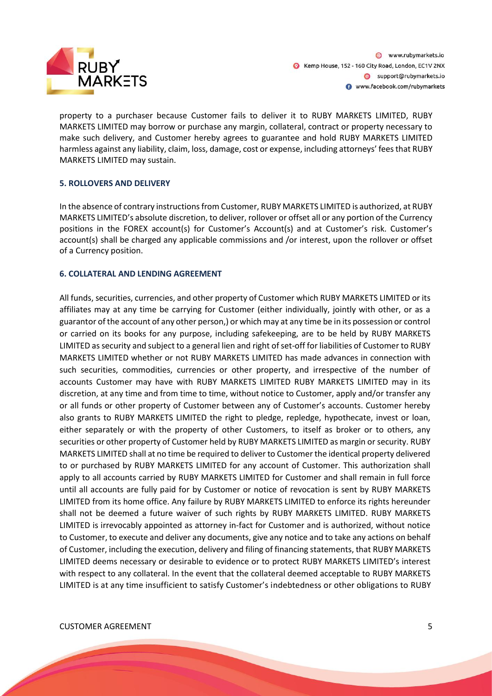

property to a purchaser because Customer fails to deliver it to RUBY MARKETS LIMITED, RUBY MARKETS LIMITED may borrow or purchase any margin, collateral, contract or property necessary to make such delivery, and Customer hereby agrees to guarantee and hold RUBY MARKETS LIMITED harmless against any liability, claim, loss, damage, cost or expense, including attorneys' fees that RUBY MARKETS LIMITED may sustain.

# **5. ROLLOVERS AND DELIVERY**

In the absence of contrary instructions from Customer, RUBY MARKETS LIMITED is authorized, at RUBY MARKETS LIMITED's absolute discretion, to deliver, rollover or offset all or any portion of the Currency positions in the FOREX account(s) for Customer's Account(s) and at Customer's risk. Customer's account(s) shall be charged any applicable commissions and /or interest, upon the rollover or offset of a Currency position.

# **6. COLLATERAL AND LENDING AGREEMENT**

All funds, securities, currencies, and other property of Customer which RUBY MARKETS LIMITED or its affiliates may at any time be carrying for Customer (either individually, jointly with other, or as a guarantor of the account of any other person,) or which may at any time be in its possession or control or carried on its books for any purpose, including safekeeping, are to be held by RUBY MARKETS LIMITED as security and subject to a general lien and right of set-off for liabilities of Customer to RUBY MARKETS LIMITED whether or not RUBY MARKETS LIMITED has made advances in connection with such securities, commodities, currencies or other property, and irrespective of the number of accounts Customer may have with RUBY MARKETS LIMITED RUBY MARKETS LIMITED may in its discretion, at any time and from time to time, without notice to Customer, apply and/or transfer any or all funds or other property of Customer between any of Customer's accounts. Customer hereby also grants to RUBY MARKETS LIMITED the right to pledge, repledge, hypothecate, invest or loan, either separately or with the property of other Customers, to itself as broker or to others, any securities or other property of Customer held by RUBY MARKETS LIMITED as margin or security. RUBY MARKETS LIMITED shall at no time be required to deliver to Customer the identical property delivered to or purchased by RUBY MARKETS LIMITED for any account of Customer. This authorization shall apply to all accounts carried by RUBY MARKETS LIMITED for Customer and shall remain in full force until all accounts are fully paid for by Customer or notice of revocation is sent by RUBY MARKETS LIMITED from its home office. Any failure by RUBY MARKETS LIMITED to enforce its rights hereunder shall not be deemed a future waiver of such rights by RUBY MARKETS LIMITED. RUBY MARKETS LIMITED is irrevocably appointed as attorney in-fact for Customer and is authorized, without notice to Customer, to execute and deliver any documents, give any notice and to take any actions on behalf of Customer, including the execution, delivery and filing of financing statements, that RUBY MARKETS LIMITED deems necessary or desirable to evidence or to protect RUBY MARKETS LIMITED's interest with respect to any collateral. In the event that the collateral deemed acceptable to RUBY MARKETS LIMITED is at any time insufficient to satisfy Customer's indebtedness or other obligations to RUBY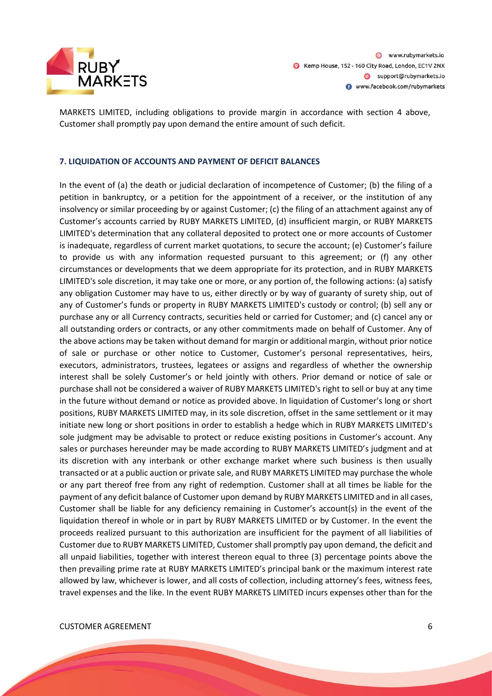

MARKETS LIMITED, including obligations to provide margin in accordance with section 4 above, Customer shall promptly pay upon demand the entire amount of such deficit.

#### **7. LIQUIDATION OF ACCOUNTS AND PAYMENT OF DEFICIT BALANCES**

In the event of (a) the death or judicial declaration of incompetence of Customer; (b) the filing of a petition in bankruptcy, or a petition for the appointment of a receiver, or the institution of any insolvency or similar proceeding by or against Customer; (c) the filing of an attachment against any of Customer's accounts carried by RUBY MARKETS LIMITED, (d) insufficient margin, or RUBY MARKETS LIMITED's determination that any collateral deposited to protect one or more accounts of Customer is inadequate, regardless of current market quotations, to secure the account; (e) Customer's failure to provide us with any information requested pursuant to this agreement; or (f) any other circumstances or developments that we deem appropriate for its protection, and in RUBY MARKETS LIMITED's sole discretion, it may take one or more, or any portion of, the following actions: (a) satisfy any obligation Customer may have to us, either directly or by way of guaranty of surety ship, out of any of Customer's funds or property in RUBY MARKETS LIMITED's custody or control; (b) sell any or purchase any or all Currency contracts, securities held or carried for Customer; and (c) cancel any or all outstanding orders or contracts, or any other commitments made on behalf of Customer. Any of the above actions may be taken without demand for margin or additional margin, without prior notice of sale or purchase or other notice to Customer, Customer's personal representatives, heirs, executors, administrators, trustees, legatees or assigns and regardless of whether the ownership interest shall be solely Customer's or held jointly with others. Prior demand or notice of sale or purchase shall not be considered a waiver of RUBY MARKETS LIMITED's right to sell or buy at any time in the future without demand or notice as provided above. In liquidation of Customer's long or short positions, RUBY MARKETS LIMITED may, in its sole discretion, offset in the same settlement or it may initiate new long or short positions in order to establish a hedge which in RUBY MARKETS LIMITED's sole judgment may be advisable to protect or reduce existing positions in Customer's account. Any sales or purchases hereunder may be made according to RUBY MARKETS LIMITED's judgment and at its discretion with any interbank or other exchange market where such business is then usually transacted or at a public auction or private sale, and RUBY MARKETS LIMITED may purchase the whole or any part thereof free from any right of redemption. Customer shall at all times be liable for the payment of any deficit balance of Customer upon demand by RUBY MARKETS LIMITED and in all cases, Customer shall be liable for any deficiency remaining in Customer's account(s) in the event of the liquidation thereof in whole or in part by RUBY MARKETS LIMITED or by Customer. In the event the proceeds realized pursuant to this authorization are insufficient for the payment of all liabilities of Customer due to RUBY MARKETS LIMITED, Customer shall promptly pay upon demand, the deficit and all unpaid liabilities, together with interest thereon equal to three (3) percentage points above the then prevailing prime rate at RUBY MARKETS LIMITED's principal bank or the maximum interest rate allowed by law, whichever is lower, and all costs of collection, including attorney's fees, witness fees, travel expenses and the like. In the event RUBY MARKETS LIMITED incurs expenses other than for the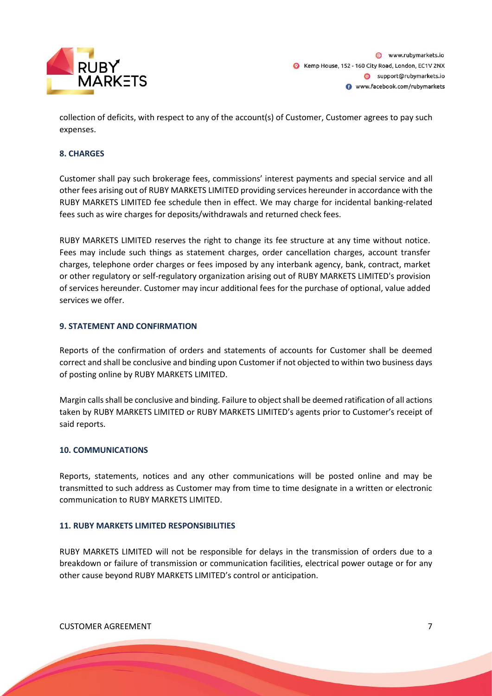

collection of deficits, with respect to any of the account(s) of Customer, Customer agrees to pay such expenses.

# **8. CHARGES**

Customer shall pay such brokerage fees, commissions' interest payments and special service and all other fees arising out of RUBY MARKETS LIMITED providing services hereunder in accordance with the RUBY MARKETS LIMITED fee schedule then in effect. We may charge for incidental banking-related fees such as wire charges for deposits/withdrawals and returned check fees.

RUBY MARKETS LIMITED reserves the right to change its fee structure at any time without notice. Fees may include such things as statement charges, order cancellation charges, account transfer charges, telephone order charges or fees imposed by any interbank agency, bank, contract, market or other regulatory or self-regulatory organization arising out of RUBY MARKETS LIMITED's provision of services hereunder. Customer may incur additional fees for the purchase of optional, value added services we offer.

#### **9. STATEMENT AND CONFIRMATION**

Reports of the confirmation of orders and statements of accounts for Customer shall be deemed correct and shall be conclusive and binding upon Customer if not objected to within two business days of posting online by RUBY MARKETS LIMITED.

Margin calls shall be conclusive and binding. Failure to object shall be deemed ratification of all actions taken by RUBY MARKETS LIMITED or RUBY MARKETS LIMITED's agents prior to Customer's receipt of said reports.

#### **10. COMMUNICATIONS**

Reports, statements, notices and any other communications will be posted online and may be transmitted to such address as Customer may from time to time designate in a written or electronic communication to RUBY MARKETS LIMITED.

#### **11. RUBY MARKETS LIMITED RESPONSIBILITIES**

RUBY MARKETS LIMITED will not be responsible for delays in the transmission of orders due to a breakdown or failure of transmission or communication facilities, electrical power outage or for any other cause beyond RUBY MARKETS LIMITED's control or anticipation.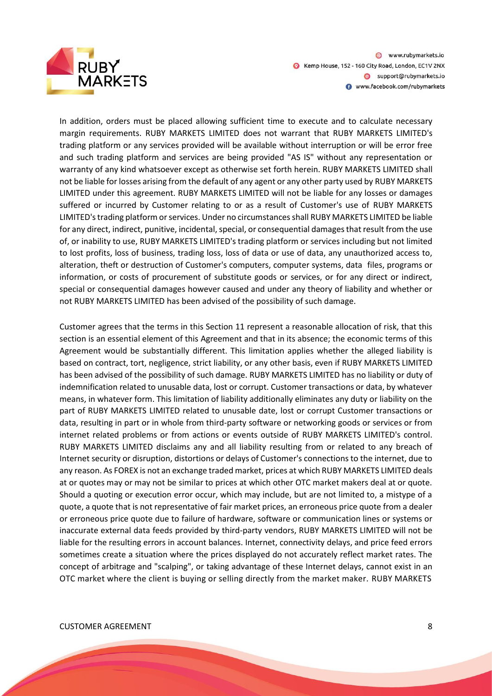

In addition, orders must be placed allowing sufficient time to execute and to calculate necessary margin requirements. RUBY MARKETS LIMITED does not warrant that RUBY MARKETS LIMITED's trading platform or any services provided will be available without interruption or will be error free and such trading platform and services are being provided "AS IS" without any representation or warranty of any kind whatsoever except as otherwise set forth herein. RUBY MARKETS LIMITED shall not be liable for losses arising from the default of any agent or any other party used by RUBY MARKETS LIMITED under this agreement. RUBY MARKETS LIMITED will not be liable for any losses or damages suffered or incurred by Customer relating to or as a result of Customer's use of RUBY MARKETS LIMITED's trading platform or services. Under no circumstances shall RUBY MARKETS LIMITED be liable for any direct, indirect, punitive, incidental, special, or consequential damages that result from the use of, or inability to use, RUBY MARKETS LIMITED's trading platform or services including but not limited to lost profits, loss of business, trading loss, loss of data or use of data, any unauthorized access to, alteration, theft or destruction of Customer's computers, computer systems, data files, programs or information, or costs of procurement of substitute goods or services, or for any direct or indirect, special or consequential damages however caused and under any theory of liability and whether or not RUBY MARKETS LIMITED has been advised of the possibility of such damage.

Customer agrees that the terms in this Section 11 represent a reasonable allocation of risk, that this section is an essential element of this Agreement and that in its absence; the economic terms of this Agreement would be substantially different. This limitation applies whether the alleged liability is based on contract, tort, negligence, strict liability, or any other basis, even if RUBY MARKETS LIMITED has been advised of the possibility of such damage. RUBY MARKETS LIMITED has no liability or duty of indemnification related to unusable data, lost or corrupt. Customer transactions or data, by whatever means, in whatever form. This limitation of liability additionally eliminates any duty or liability on the part of RUBY MARKETS LIMITED related to unusable date, lost or corrupt Customer transactions or data, resulting in part or in whole from third-party software or networking goods or services or from internet related problems or from actions or events outside of RUBY MARKETS LIMITED's control. RUBY MARKETS LIMITED disclaims any and all liability resulting from or related to any breach of Internet security or disruption, distortions or delays of Customer's connections to the internet, due to any reason. As FOREX is not an exchange traded market, prices at which RUBY MARKETS LIMITED deals at or quotes may or may not be similar to prices at which other OTC market makers deal at or quote. Should a quoting or execution error occur, which may include, but are not limited to, a mistype of a quote, a quote that is not representative of fair market prices, an erroneous price quote from a dealer or erroneous price quote due to failure of hardware, software or communication lines or systems or inaccurate external data feeds provided by third-party vendors, RUBY MARKETS LIMITED will not be liable for the resulting errors in account balances. Internet, connectivity delays, and price feed errors sometimes create a situation where the prices displayed do not accurately reflect market rates. The concept of arbitrage and "scalping", or taking advantage of these Internet delays, cannot exist in an OTC market where the client is buying or selling directly from the market maker. RUBY MARKETS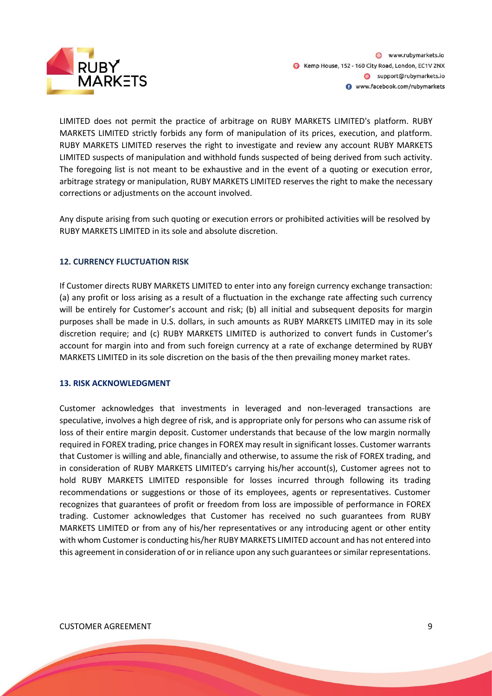

LIMITED does not permit the practice of arbitrage on RUBY MARKETS LIMITED's platform. RUBY MARKETS LIMITED strictly forbids any form of manipulation of its prices, execution, and platform. RUBY MARKETS LIMITED reserves the right to investigate and review any account RUBY MARKETS LIMITED suspects of manipulation and withhold funds suspected of being derived from such activity. The foregoing list is not meant to be exhaustive and in the event of a quoting or execution error, arbitrage strategy or manipulation, RUBY MARKETS LIMITED reserves the right to make the necessary corrections or adjustments on the account involved.

Any dispute arising from such quoting or execution errors or prohibited activities will be resolved by RUBY MARKETS LIMITED in its sole and absolute discretion.

# **12. CURRENCY FLUCTUATION RISK**

If Customer directs RUBY MARKETS LIMITED to enter into any foreign currency exchange transaction: (a) any profit or loss arising as a result of a fluctuation in the exchange rate affecting such currency will be entirely for Customer's account and risk; (b) all initial and subsequent deposits for margin purposes shall be made in U.S. dollars, in such amounts as RUBY MARKETS LIMITED may in its sole discretion require; and (c) RUBY MARKETS LIMITED is authorized to convert funds in Customer's account for margin into and from such foreign currency at a rate of exchange determined by RUBY MARKETS LIMITED in its sole discretion on the basis of the then prevailing money market rates.

#### **13. RISK ACKNOWLEDGMENT**

Customer acknowledges that investments in leveraged and non-leveraged transactions are speculative, involves a high degree of risk, and is appropriate only for persons who can assume risk of loss of their entire margin deposit. Customer understands that because of the low margin normally required in FOREX trading, price changes in FOREX may result in significant losses. Customer warrants that Customer is willing and able, financially and otherwise, to assume the risk of FOREX trading, and in consideration of RUBY MARKETS LIMITED's carrying his/her account(s), Customer agrees not to hold RUBY MARKETS LIMITED responsible for losses incurred through following its trading recommendations or suggestions or those of its employees, agents or representatives. Customer recognizes that guarantees of profit or freedom from loss are impossible of performance in FOREX trading. Customer acknowledges that Customer has received no such guarantees from RUBY MARKETS LIMITED or from any of his/her representatives or any introducing agent or other entity with whom Customer is conducting his/her RUBY MARKETS LIMITED account and has not entered into this agreement in consideration of or in reliance upon any such guarantees or similar representations.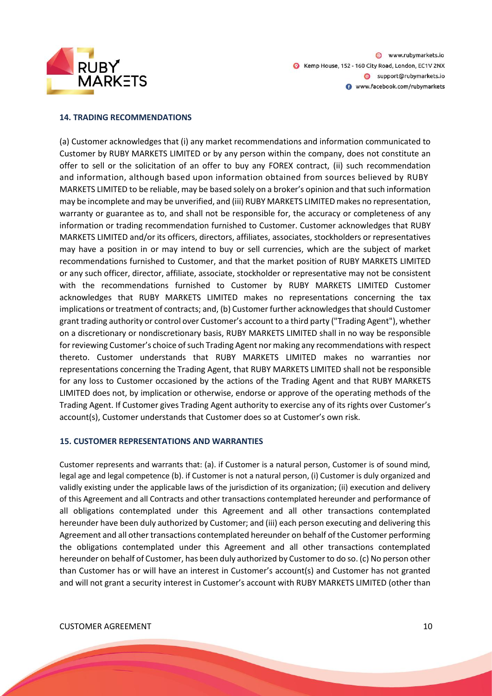

# **14. TRADING RECOMMENDATIONS**

(a) Customer acknowledges that (i) any market recommendations and information communicated to Customer by RUBY MARKETS LIMITED or by any person within the company, does not constitute an offer to sell or the solicitation of an offer to buy any FOREX contract, (ii) such recommendation and information, although based upon information obtained from sources believed by RUBY MARKETS LIMITED to be reliable, may be based solely on a broker's opinion and that such information may be incomplete and may be unverified, and (iii) RUBY MARKETS LIMITED makes no representation, warranty or guarantee as to, and shall not be responsible for, the accuracy or completeness of any information or trading recommendation furnished to Customer. Customer acknowledges that RUBY MARKETS LIMITED and/or its officers, directors, affiliates, associates, stockholders or representatives may have a position in or may intend to buy or sell currencies, which are the subject of market recommendations furnished to Customer, and that the market position of RUBY MARKETS LIMITED or any such officer, director, affiliate, associate, stockholder or representative may not be consistent with the recommendations furnished to Customer by RUBY MARKETS LIMITED Customer acknowledges that RUBY MARKETS LIMITED makes no representations concerning the tax implications or treatment of contracts; and, (b) Customer further acknowledges that should Customer grant trading authority or control over Customer's account to a third party ("Trading Agent"), whether on a discretionary or nondiscretionary basis, RUBY MARKETS LIMITED shall in no way be responsible for reviewing Customer's choice of such Trading Agent nor making any recommendations with respect thereto. Customer understands that RUBY MARKETS LIMITED makes no warranties nor representations concerning the Trading Agent, that RUBY MARKETS LIMITED shall not be responsible for any loss to Customer occasioned by the actions of the Trading Agent and that RUBY MARKETS LIMITED does not, by implication or otherwise, endorse or approve of the operating methods of the Trading Agent. If Customer gives Trading Agent authority to exercise any of its rights over Customer's account(s), Customer understands that Customer does so at Customer's own risk.

#### **15. CUSTOMER REPRESENTATIONS AND WARRANTIES**

Customer represents and warrants that: (a). if Customer is a natural person, Customer is of sound mind, legal age and legal competence (b). if Customer is not a natural person, (i) Customer is duly organized and validly existing under the applicable laws of the jurisdiction of its organization; (ii) execution and delivery of this Agreement and all Contracts and other transactions contemplated hereunder and performance of all obligations contemplated under this Agreement and all other transactions contemplated hereunder have been duly authorized by Customer; and (iii) each person executing and delivering this Agreement and all other transactions contemplated hereunder on behalf of the Customer performing the obligations contemplated under this Agreement and all other transactions contemplated hereunder on behalf of Customer, has been duly authorized by Customer to do so. (c) No person other than Customer has or will have an interest in Customer's account(s) and Customer has not granted and will not grant a security interest in Customer's account with RUBY MARKETS LIMITED (other than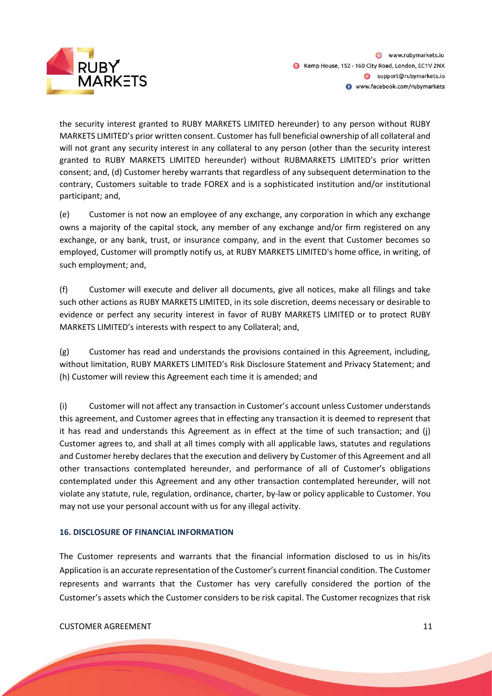

the security interest granted to RUBY MARKETS LIMITED hereunder) to any person without RUBY MARKETS LIMITED's prior written consent. Customer has full beneficial ownership of all collateral and will not grant any security interest in any collateral to any person (other than the security interest granted to RUBY MARKETS LIMITED hereunder) without RUBMARKETS LIMITED's prior written consent; and, (d) Customer hereby warrants that regardless of any subsequent determination to the contrary, Customers suitable to trade FOREX and is a sophisticated institution and/or institutional participant; and,

(e) Customer is not now an employee of any exchange, any corporation in which any exchange owns a majority of the capital stock, any member of any exchange and/or firm registered on any exchange, or any bank, trust, or insurance company, and in the event that Customer becomes so employed, Customer will promptly notify us, at RUBY MARKETS LIMITED's home office, in writing, of such employment; and,

(f) Customer will execute and deliver all documents, give all notices, make all filings and take such other actions as RUBY MARKETS LIMITED, in its sole discretion, deems necessary or desirable to evidence or perfect any security interest in favor of RUBY MARKETS LIMITED or to protect RUBY MARKETS LIMITED's interests with respect to any Collateral; and,

(g) Customer has read and understands the provisions contained in this Agreement, including, without limitation, RUBY MARKETS LIMITED's Risk Disclosure Statement and Privacy Statement; and (h) Customer will review this Agreement each time it is amended; and

(i) Customer will not affect any transaction in Customer's account unless Customer understands this agreement, and Customer agrees that in effecting any transaction it is deemed to represent that it has read and understands this Agreement as in effect at the time of such transaction; and (j) Customer agrees to, and shall at all times comply with all applicable laws, statutes and regulations and Customer hereby declares that the execution and delivery by Customer of this Agreement and all other transactions contemplated hereunder, and performance of all of Customer's obligations contemplated under this Agreement and any other transaction contemplated hereunder, will not violate any statute, rule, regulation, ordinance, charter, by-law or policy applicable to Customer. You may not use your personal account with us for any illegal activity.

# **16. DISCLOSURE OF FINANCIAL INFORMATION**

The Customer represents and warrants that the financial information disclosed to us in his/its Application is an accurate representation of the Customer's current financial condition. The Customer represents and warrants that the Customer has very carefully considered the portion of the Customer's assets which the Customer considers to be risk capital. The Customer recognizes that risk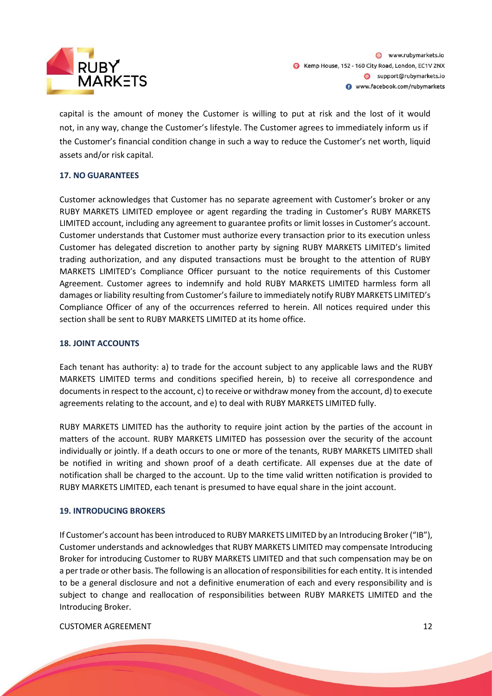

capital is the amount of money the Customer is willing to put at risk and the lost of it would not, in any way, change the Customer's lifestyle. The Customer agrees to immediately inform us if the Customer's financial condition change in such a way to reduce the Customer's net worth, liquid assets and/or risk capital.

# **17. NO GUARANTEES**

Customer acknowledges that Customer has no separate agreement with Customer's broker or any RUBY MARKETS LIMITED employee or agent regarding the trading in Customer's RUBY MARKETS LIMITED account, including any agreement to guarantee profits or limit losses in Customer's account. Customer understands that Customer must authorize every transaction prior to its execution unless Customer has delegated discretion to another party by signing RUBY MARKETS LIMITED's limited trading authorization, and any disputed transactions must be brought to the attention of RUBY MARKETS LIMITED's Compliance Officer pursuant to the notice requirements of this Customer Agreement. Customer agrees to indemnify and hold RUBY MARKETS LIMITED harmless form all damages or liability resulting from Customer's failure to immediately notify RUBY MARKETS LIMITED's Compliance Officer of any of the occurrences referred to herein. All notices required under this section shall be sent to RUBY MARKETS LIMITED at its home office.

# **18. JOINT ACCOUNTS**

Each tenant has authority: a) to trade for the account subject to any applicable laws and the RUBY MARKETS LIMITED terms and conditions specified herein, b) to receive all correspondence and documents in respect to the account, c) to receive or withdraw money from the account, d) to execute agreements relating to the account, and e) to deal with RUBY MARKETS LIMITED fully.

RUBY MARKETS LIMITED has the authority to require joint action by the parties of the account in matters of the account. RUBY MARKETS LIMITED has possession over the security of the account individually or jointly. If a death occurs to one or more of the tenants, RUBY MARKETS LIMITED shall be notified in writing and shown proof of a death certificate. All expenses due at the date of notification shall be charged to the account. Up to the time valid written notification is provided to RUBY MARKETS LIMITED, each tenant is presumed to have equal share in the joint account.

#### **19. INTRODUCING BROKERS**

If Customer's account has been introduced to RUBY MARKETS LIMITED by an Introducing Broker ("IB"), Customer understands and acknowledges that RUBY MARKETS LIMITED may compensate Introducing Broker for introducing Customer to RUBY MARKETS LIMITED and that such compensation may be on a per trade or other basis. The following is an allocation of responsibilities for each entity. It is intended to be a general disclosure and not a definitive enumeration of each and every responsibility and is subject to change and reallocation of responsibilities between RUBY MARKETS LIMITED and the Introducing Broker.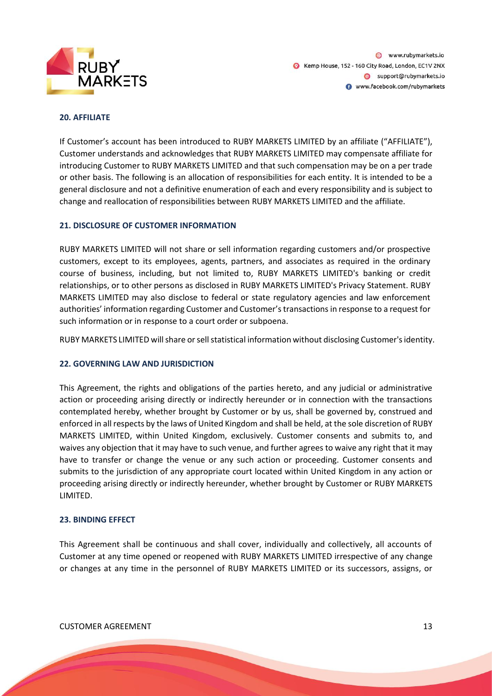

# **20. AFFILIATE**

If Customer's account has been introduced to RUBY MARKETS LIMITED by an affiliate ("AFFILIATE"), Customer understands and acknowledges that RUBY MARKETS LIMITED may compensate affiliate for introducing Customer to RUBY MARKETS LIMITED and that such compensation may be on a per trade or other basis. The following is an allocation of responsibilities for each entity. It is intended to be a general disclosure and not a definitive enumeration of each and every responsibility and is subject to change and reallocation of responsibilities between RUBY MARKETS LIMITED and the affiliate.

#### **21. DISCLOSURE OF CUSTOMER INFORMATION**

RUBY MARKETS LIMITED will not share or sell information regarding customers and/or prospective customers, except to its employees, agents, partners, and associates as required in the ordinary course of business, including, but not limited to, RUBY MARKETS LIMITED's banking or credit relationships, or to other persons as disclosed in RUBY MARKETS LIMITED's Privacy Statement. RUBY MARKETS LIMITED may also disclose to federal or state regulatory agencies and law enforcement authorities' information regarding Customer and Customer's transactions in response to a request for such information or in response to a court order or subpoena.

RUBY MARKETS LIMITED will share or sell statistical information without disclosing Customer's identity.

# **22. GOVERNING LAW AND JURISDICTION**

This Agreement, the rights and obligations of the parties hereto, and any judicial or administrative action or proceeding arising directly or indirectly hereunder or in connection with the transactions contemplated hereby, whether brought by Customer or by us, shall be governed by, construed and enforced in all respects by the laws of United Kingdom and shall be held, at the sole discretion of RUBY MARKETS LIMITED, within United Kingdom, exclusively. Customer consents and submits to, and waives any objection that it may have to such venue, and further agrees to waive any right that it may have to transfer or change the venue or any such action or proceeding. Customer consents and submits to the jurisdiction of any appropriate court located within United Kingdom in any action or proceeding arising directly or indirectly hereunder, whether brought by Customer or RUBY MARKETS LIMITED.

# **23. BINDING EFFECT**

This Agreement shall be continuous and shall cover, individually and collectively, all accounts of Customer at any time opened or reopened with RUBY MARKETS LIMITED irrespective of any change or changes at any time in the personnel of RUBY MARKETS LIMITED or its successors, assigns, or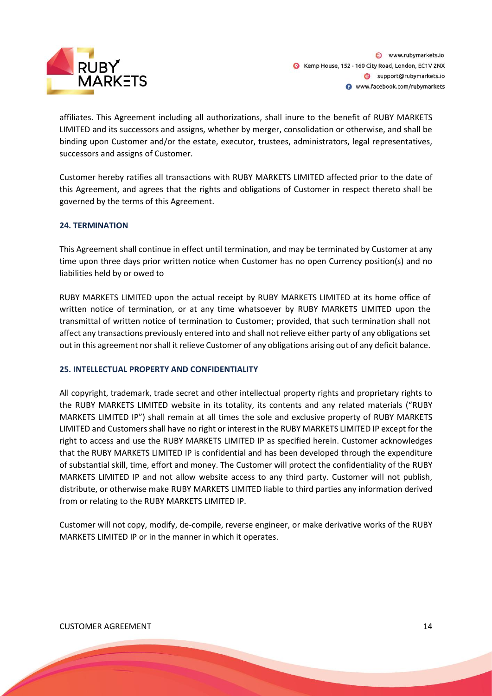

affiliates. This Agreement including all authorizations, shall inure to the benefit of RUBY MARKETS LIMITED and its successors and assigns, whether by merger, consolidation or otherwise, and shall be binding upon Customer and/or the estate, executor, trustees, administrators, legal representatives, successors and assigns of Customer.

Customer hereby ratifies all transactions with RUBY MARKETS LIMITED affected prior to the date of this Agreement, and agrees that the rights and obligations of Customer in respect thereto shall be governed by the terms of this Agreement.

# **24. TERMINATION**

This Agreement shall continue in effect until termination, and may be terminated by Customer at any time upon three days prior written notice when Customer has no open Currency position(s) and no liabilities held by or owed to

RUBY MARKETS LIMITED upon the actual receipt by RUBY MARKETS LIMITED at its home office of written notice of termination, or at any time whatsoever by RUBY MARKETS LIMITED upon the transmittal of written notice of termination to Customer; provided, that such termination shall not affect any transactions previously entered into and shall not relieve either party of any obligations set out in this agreement nor shall it relieve Customer of any obligations arising out of any deficit balance.

# **25. INTELLECTUAL PROPERTY AND CONFIDENTIALITY**

All copyright, trademark, trade secret and other intellectual property rights and proprietary rights to the RUBY MARKETS LIMITED website in its totality, its contents and any related materials ("RUBY MARKETS LIMITED IP") shall remain at all times the sole and exclusive property of RUBY MARKETS LIMITED and Customers shall have no right or interest in the RUBY MARKETS LIMITED IP except for the right to access and use the RUBY MARKETS LIMITED IP as specified herein. Customer acknowledges that the RUBY MARKETS LIMITED IP is confidential and has been developed through the expenditure of substantial skill, time, effort and money. The Customer will protect the confidentiality of the RUBY MARKETS LIMITED IP and not allow website access to any third party. Customer will not publish, distribute, or otherwise make RUBY MARKETS LIMITED liable to third parties any information derived from or relating to the RUBY MARKETS LIMITED IP.

Customer will not copy, modify, de-compile, reverse engineer, or make derivative works of the RUBY MARKETS LIMITED IP or in the manner in which it operates.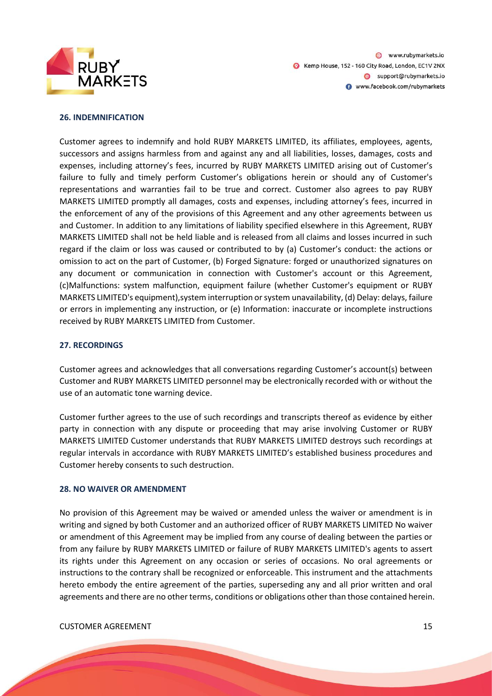

# **26. INDEMNIFICATION**

Customer agrees to indemnify and hold RUBY MARKETS LIMITED, its affiliates, employees, agents, successors and assigns harmless from and against any and all liabilities, losses, damages, costs and expenses, including attorney's fees, incurred by RUBY MARKETS LIMITED arising out of Customer's failure to fully and timely perform Customer's obligations herein or should any of Customer's representations and warranties fail to be true and correct. Customer also agrees to pay RUBY MARKETS LIMITED promptly all damages, costs and expenses, including attorney's fees, incurred in the enforcement of any of the provisions of this Agreement and any other agreements between us and Customer. In addition to any limitations of liability specified elsewhere in this Agreement, RUBY MARKETS LIMITED shall not be held liable and is released from all claims and losses incurred in such regard if the claim or loss was caused or contributed to by (a) Customer's conduct: the actions or omission to act on the part of Customer, (b) Forged Signature: forged or unauthorized signatures on any document or communication in connection with Customer's account or this Agreement, (c)Malfunctions: system malfunction, equipment failure (whether Customer's equipment or RUBY MARKETS LIMITED's equipment),system interruption or system unavailability, (d) Delay: delays, failure or errors in implementing any instruction, or (e) Information: inaccurate or incomplete instructions received by RUBY MARKETS LIMITED from Customer.

#### **27. RECORDINGS**

Customer agrees and acknowledges that all conversations regarding Customer's account(s) between Customer and RUBY MARKETS LIMITED personnel may be electronically recorded with or without the use of an automatic tone warning device.

Customer further agrees to the use of such recordings and transcripts thereof as evidence by either party in connection with any dispute or proceeding that may arise involving Customer or RUBY MARKETS LIMITED Customer understands that RUBY MARKETS LIMITED destroys such recordings at regular intervals in accordance with RUBY MARKETS LIMITED's established business procedures and Customer hereby consents to such destruction.

#### **28. NO WAIVER OR AMENDMENT**

No provision of this Agreement may be waived or amended unless the waiver or amendment is in writing and signed by both Customer and an authorized officer of RUBY MARKETS LIMITED No waiver or amendment of this Agreement may be implied from any course of dealing between the parties or from any failure by RUBY MARKETS LIMITED or failure of RUBY MARKETS LIMITED's agents to assert its rights under this Agreement on any occasion or series of occasions. No oral agreements or instructions to the contrary shall be recognized or enforceable. This instrument and the attachments hereto embody the entire agreement of the parties, superseding any and all prior written and oral agreements and there are no other terms, conditions or obligations other than those contained herein.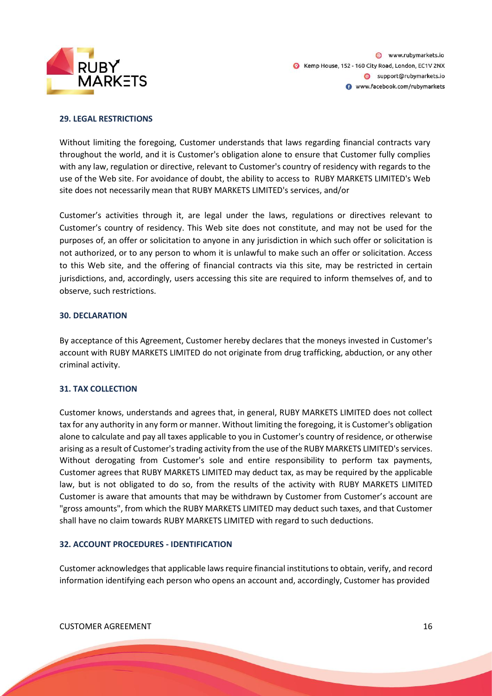

# **29. LEGAL RESTRICTIONS**

Without limiting the foregoing, Customer understands that laws regarding financial contracts vary throughout the world, and it is Customer's obligation alone to ensure that Customer fully complies with any law, regulation or directive, relevant to Customer's country of residency with regards to the use of the Web site. For avoidance of doubt, the ability to access to RUBY MARKETS LIMITED's Web site does not necessarily mean that RUBY MARKETS LIMITED's services, and/or

Customer's activities through it, are legal under the laws, regulations or directives relevant to Customer's country of residency. This Web site does not constitute, and may not be used for the purposes of, an offer or solicitation to anyone in any jurisdiction in which such offer or solicitation is not authorized, or to any person to whom it is unlawful to make such an offer or solicitation. Access to this Web site, and the offering of financial contracts via this site, may be restricted in certain jurisdictions, and, accordingly, users accessing this site are required to inform themselves of, and to observe, such restrictions.

# **30. DECLARATION**

By acceptance of this Agreement, Customer hereby declares that the moneys invested in Customer's account with RUBY MARKETS LIMITED do not originate from drug trafficking, abduction, or any other criminal activity.

# **31. TAX COLLECTION**

Customer knows, understands and agrees that, in general, RUBY MARKETS LIMITED does not collect tax for any authority in any form or manner. Without limiting the foregoing, it is Customer's obligation alone to calculate and pay all taxes applicable to you in Customer's country of residence, or otherwise arising as a result of Customer's trading activity from the use of the RUBY MARKETS LIMITED's services. Without derogating from Customer's sole and entire responsibility to perform tax payments, Customer agrees that RUBY MARKETS LIMITED may deduct tax, as may be required by the applicable law, but is not obligated to do so, from the results of the activity with RUBY MARKETS LIMITED Customer is aware that amounts that may be withdrawn by Customer from Customer's account are "gross amounts", from which the RUBY MARKETS LIMITED may deduct such taxes, and that Customer shall have no claim towards RUBY MARKETS LIMITED with regard to such deductions.

# **32. ACCOUNT PROCEDURES - IDENTIFICATION**

Customer acknowledges that applicable laws require financial institutions to obtain, verify, and record information identifying each person who opens an account and, accordingly, Customer has provided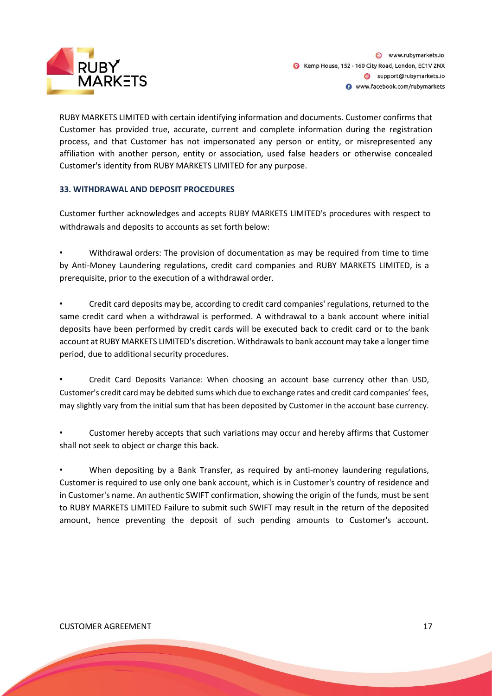

RUBY MARKETS LIMITED with certain identifying information and documents. Customer confirms that Customer has provided true, accurate, current and complete information during the registration process, and that Customer has not impersonated any person or entity, or misrepresented any affiliation with another person, entity or association, used false headers or otherwise concealed Customer's identity from RUBY MARKETS LIMITED for any purpose.

# **33. WITHDRAWAL AND DEPOSIT PROCEDURES**

Customer further acknowledges and accepts RUBY MARKETS LIMITED's procedures with respect to withdrawals and deposits to accounts as set forth below:

• Withdrawal orders: The provision of documentation as may be required from time to time by Anti-Money Laundering regulations, credit card companies and RUBY MARKETS LIMITED, is a prerequisite, prior to the execution of a withdrawal order.

• Credit card deposits may be, according to credit card companies' regulations, returned to the same credit card when a withdrawal is performed. A withdrawal to a bank account where initial deposits have been performed by credit cards will be executed back to credit card or to the bank account at RUBY MARKETS LIMITED's discretion. Withdrawals to bank account may take a longer time period, due to additional security procedures.

• Credit Card Deposits Variance: When choosing an account base currency other than USD, Customer's credit card may be debited sums which due to exchange rates and credit card companies' fees, may slightly vary from the initial sum that has been deposited by Customer in the account base currency.

• Customer hereby accepts that such variations may occur and hereby affirms that Customer shall not seek to object or charge this back.

When depositing by a Bank Transfer, as required by anti-money laundering regulations, Customer is required to use only one bank account, which is in Customer's country of residence and in Customer's name. An authentic SWIFT confirmation, showing the origin of the funds, must be sent to RUBY MARKETS LIMITED Failure to submit such SWIFT may result in the return of the deposited amount, hence preventing the deposit of such pending amounts to Customer's account.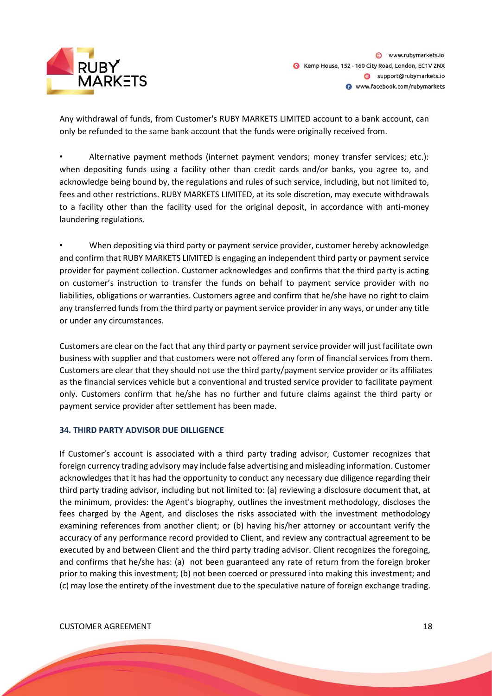

Any withdrawal of funds, from Customer's RUBY MARKETS LIMITED account to a bank account, can only be refunded to the same bank account that the funds were originally received from.

• Alternative payment methods (internet payment vendors; money transfer services; etc.): when depositing funds using a facility other than credit cards and/or banks, you agree to, and acknowledge being bound by, the regulations and rules of such service, including, but not limited to, fees and other restrictions. RUBY MARKETS LIMITED, at its sole discretion, may execute withdrawals to a facility other than the facility used for the original deposit, in accordance with anti-money laundering regulations.

• When depositing via third party or payment service provider, customer hereby acknowledge and confirm that RUBY MARKETS LIMITED is engaging an independent third party or payment service provider for payment collection. Customer acknowledges and confirms that the third party is acting on customer's instruction to transfer the funds on behalf to payment service provider with no liabilities, obligations or warranties. Customers agree and confirm that he/she have no right to claim any transferred funds from the third party or payment service provider in any ways, or under any title or under any circumstances.

Customers are clear on the fact that any third party or payment service provider will just facilitate own business with supplier and that customers were not offered any form of financial services from them. Customers are clear that they should not use the third party/payment service provider or its affiliates as the financial services vehicle but a conventional and trusted service provider to facilitate payment only. Customers confirm that he/she has no further and future claims against the third party or payment service provider after settlement has been made.

# **34. THIRD PARTY ADVISOR DUE DILLIGENCE**

If Customer's account is associated with a third party trading advisor, Customer recognizes that foreign currency trading advisory may include false advertising and misleading information. Customer acknowledges that it has had the opportunity to conduct any necessary due diligence regarding their third party trading advisor, including but not limited to: (a) reviewing a disclosure document that, at the minimum, provides: the Agent's biography, outlines the investment methodology, discloses the fees charged by the Agent, and discloses the risks associated with the investment methodology examining references from another client; or (b) having his/her attorney or accountant verify the accuracy of any performance record provided to Client, and review any contractual agreement to be executed by and between Client and the third party trading advisor. Client recognizes the foregoing, and confirms that he/she has: (a) not been guaranteed any rate of return from the foreign broker prior to making this investment; (b) not been coerced or pressured into making this investment; and (c) may lose the entirety of the investment due to the speculative nature of foreign exchange trading.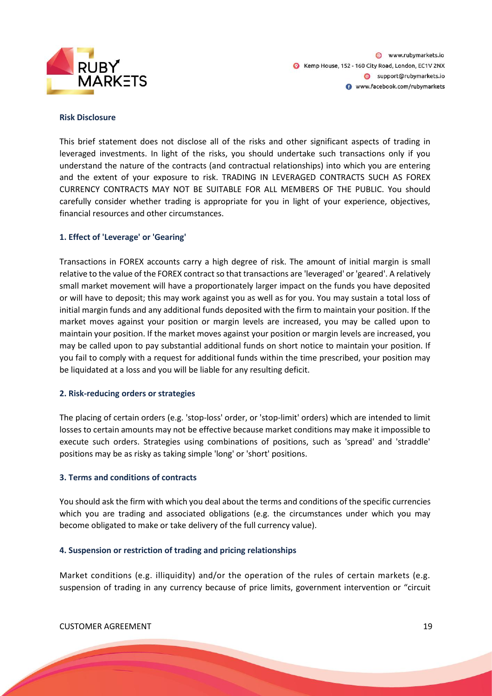

#### **Risk Disclosure**

This brief statement does not disclose all of the risks and other significant aspects of trading in leveraged investments. In light of the risks, you should undertake such transactions only if you understand the nature of the contracts (and contractual relationships) into which you are entering and the extent of your exposure to risk. TRADING IN LEVERAGED CONTRACTS SUCH AS FOREX CURRENCY CONTRACTS MAY NOT BE SUITABLE FOR ALL MEMBERS OF THE PUBLIC. You should carefully consider whether trading is appropriate for you in light of your experience, objectives, financial resources and other circumstances.

# **1. Effect of 'Leverage' or 'Gearing'**

Transactions in FOREX accounts carry a high degree of risk. The amount of initial margin is small relative to the value of the FOREX contract so that transactions are 'leveraged' or 'geared'. A relatively small market movement will have a proportionately larger impact on the funds you have deposited or will have to deposit; this may work against you as well as for you. You may sustain a total loss of initial margin funds and any additional funds deposited with the firm to maintain your position. If the market moves against your position or margin levels are increased, you may be called upon to maintain your position. If the market moves against your position or margin levels are increased, you may be called upon to pay substantial additional funds on short notice to maintain your position. If you fail to comply with a request for additional funds within the time prescribed, your position may be liquidated at a loss and you will be liable for any resulting deficit.

#### **2. Risk-reducing orders or strategies**

The placing of certain orders (e.g. 'stop-loss' order, or 'stop-limit' orders) which are intended to limit losses to certain amounts may not be effective because market conditions may make it impossible to execute such orders. Strategies using combinations of positions, such as 'spread' and 'straddle' positions may be as risky as taking simple 'long' or 'short' positions.

# **3. Terms and conditions of contracts**

You should ask the firm with which you deal about the terms and conditions of the specific currencies which you are trading and associated obligations (e.g. the circumstances under which you may become obligated to make or take delivery of the full currency value).

#### **4. Suspension or restriction of trading and pricing relationships**

Market conditions (e.g. illiquidity) and/or the operation of the rules of certain markets (e.g. suspension of trading in any currency because of price limits, government intervention or "circuit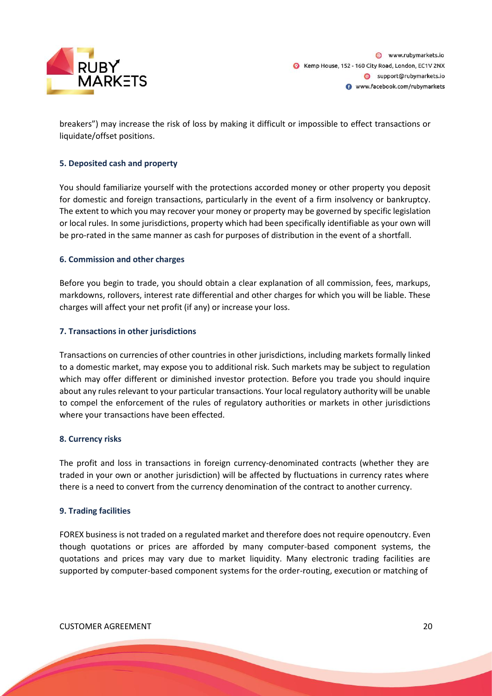

breakers") may increase the risk of loss by making it difficult or impossible to effect transactions or liquidate/offset positions.

# **5. Deposited cash and property**

You should familiarize yourself with the protections accorded money or other property you deposit for domestic and foreign transactions, particularly in the event of a firm insolvency or bankruptcy. The extent to which you may recover your money or property may be governed by specific legislation or local rules. In some jurisdictions, property which had been specifically identifiable as your own will be pro-rated in the same manner as cash for purposes of distribution in the event of a shortfall.

# **6. Commission and other charges**

Before you begin to trade, you should obtain a clear explanation of all commission, fees, markups, markdowns, rollovers, interest rate differential and other charges for which you will be liable. These charges will affect your net profit (if any) or increase your loss.

# **7. Transactions in other jurisdictions**

Transactions on currencies of other countries in other jurisdictions, including markets formally linked to a domestic market, may expose you to additional risk. Such markets may be subject to regulation which may offer different or diminished investor protection. Before you trade you should inquire about any rules relevant to your particular transactions. Your local regulatory authority will be unable to compel the enforcement of the rules of regulatory authorities or markets in other jurisdictions where your transactions have been effected.

# **8. Currency risks**

The profit and loss in transactions in foreign currency-denominated contracts (whether they are traded in your own or another jurisdiction) will be affected by fluctuations in currency rates where there is a need to convert from the currency denomination of the contract to another currency.

# **9. Trading facilities**

FOREX business is not traded on a regulated market and therefore does not require openoutcry. Even though quotations or prices are afforded by many computer-based component systems, the quotations and prices may vary due to market liquidity. Many electronic trading facilities are supported by computer-based component systems for the order-routing, execution or matching of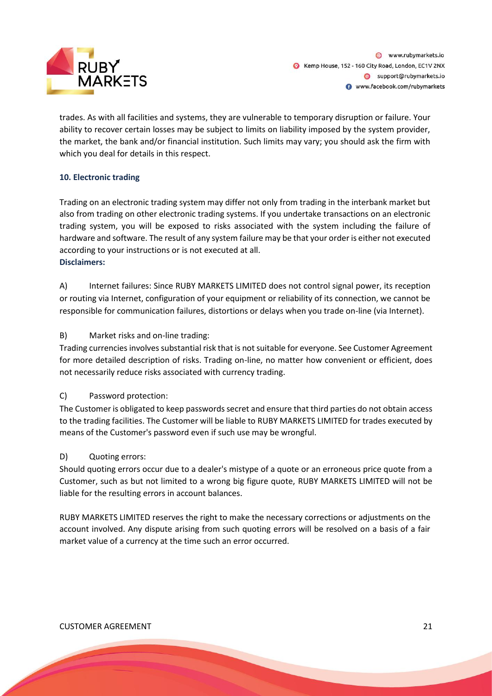

trades. As with all facilities and systems, they are vulnerable to temporary disruption or failure. Your ability to recover certain losses may be subject to limits on liability imposed by the system provider, the market, the bank and/or financial institution. Such limits may vary; you should ask the firm with which you deal for details in this respect.

# **10. Electronic trading**

Trading on an electronic trading system may differ not only from trading in the interbank market but also from trading on other electronic trading systems. If you undertake transactions on an electronic trading system, you will be exposed to risks associated with the system including the failure of hardware and software. The result of any system failure may be that your order is either not executed according to your instructions or is not executed at all. **Disclaimers:**

A) Internet failures: Since RUBY MARKETS LIMITED does not control signal power, its reception or routing via Internet, configuration of your equipment or reliability of its connection, we cannot be responsible for communication failures, distortions or delays when you trade on-line (via Internet).

# B) Market risks and on-line trading:

Trading currencies involves substantial risk that is not suitable for everyone. See Customer Agreement for more detailed description of risks. Trading on-line, no matter how convenient or efficient, does not necessarily reduce risks associated with currency trading.

# C) Password protection:

The Customer is obligated to keep passwords secret and ensure that third parties do not obtain access to the trading facilities. The Customer will be liable to RUBY MARKETS LIMITED for trades executed by means of the Customer's password even if such use may be wrongful.

# D) Quoting errors:

Should quoting errors occur due to a dealer's mistype of a quote or an erroneous price quote from a Customer, such as but not limited to a wrong big figure quote, RUBY MARKETS LIMITED will not be liable for the resulting errors in account balances.

RUBY MARKETS LIMITED reserves the right to make the necessary corrections or adjustments on the account involved. Any dispute arising from such quoting errors will be resolved on a basis of a fair market value of a currency at the time such an error occurred.